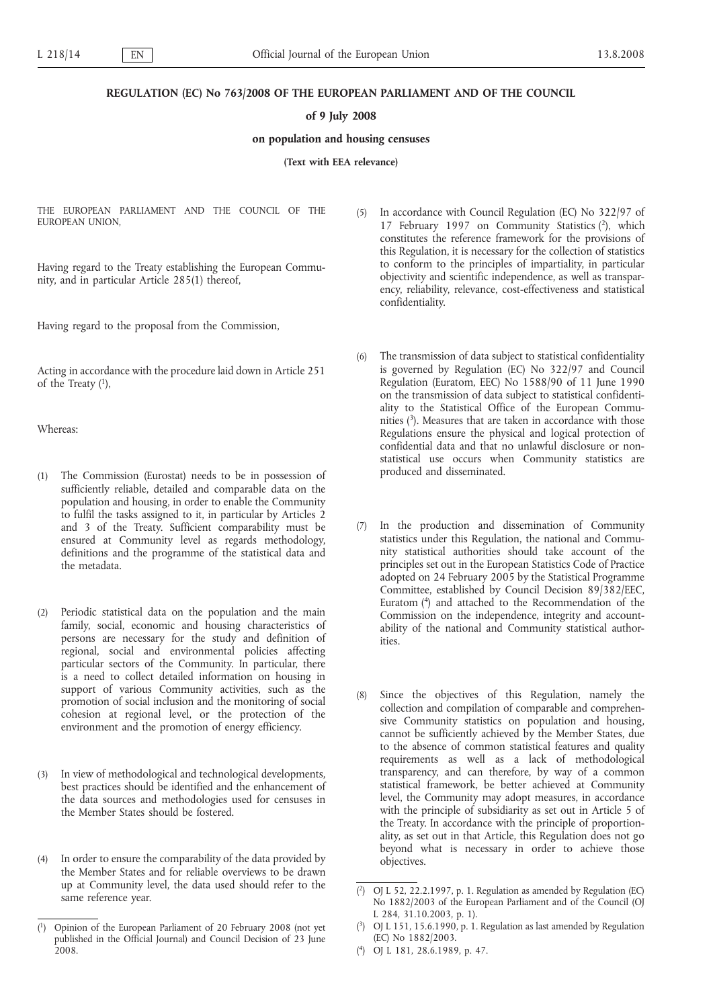## **REGULATION (EC) No 763/2008 OF THE EUROPEAN PARLIAMENT AND OF THE COUNCIL**

## **of 9 July 2008**

# **on population and housing censuses**

**(Text with EEA relevance)**

THE EUROPEAN PARLIAMENT AND THE COUNCIL OF THE EUROPEAN UNION,

Having regard to the Treaty establishing the European Community, and in particular Article 285(1) thereof,

Having regard to the proposal from the Commission,

Acting in accordance with the procedure laid down in Article 251 of the Treaty  $(1)$ ,

Whereas:

- (1) The Commission (Eurostat) needs to be in possession of sufficiently reliable, detailed and comparable data on the population and housing, in order to enable the Community to fulfil the tasks assigned to it, in particular by Articles 2 and 3 of the Treaty. Sufficient comparability must be ensured at Community level as regards methodology, definitions and the programme of the statistical data and the metadata.
- (2) Periodic statistical data on the population and the main family, social, economic and housing characteristics of persons are necessary for the study and definition of regional, social and environmental policies affecting particular sectors of the Community. In particular, there is a need to collect detailed information on housing in support of various Community activities, such as the promotion of social inclusion and the monitoring of social cohesion at regional level, or the protection of the environment and the promotion of energy efficiency.
- (3) In view of methodological and technological developments, best practices should be identified and the enhancement of the data sources and methodologies used for censuses in the Member States should be fostered.
- (4) In order to ensure the comparability of the data provided by the Member States and for reliable overviews to be drawn up at Community level, the data used should refer to the same reference year.
- (5) In accordance with Council Regulation (EC) No 322/97 of 17 February 1997 on Community Statistics (2), which constitutes the reference framework for the provisions of this Regulation, it is necessary for the collection of statistics to conform to the principles of impartiality, in particular objectivity and scientific independence, as well as transparency, reliability, relevance, cost-effectiveness and statistical confidentiality.
- (6) The transmission of data subject to statistical confidentiality is governed by Regulation (EC) No 322/97 and Council Regulation (Euratom, EEC) No 1588/90 of 11 June 1990 on the transmission of data subject to statistical confidentiality to the Statistical Office of the European Communities  $(3)$ . Measures that are taken in accordance with those Regulations ensure the physical and logical protection of confidential data and that no unlawful disclosure or nonstatistical use occurs when Community statistics are produced and disseminated.
- (7) In the production and dissemination of Community statistics under this Regulation, the national and Community statistical authorities should take account of the principles set out in the European Statistics Code of Practice adopted on 24 February 2005 by the Statistical Programme Committee, established by Council Decision 89/382/EEC, Euratom (4) and attached to the Recommendation of the Commission on the independence, integrity and accountability of the national and Community statistical authorities.
- (8) Since the objectives of this Regulation, namely the collection and compilation of comparable and comprehensive Community statistics on population and housing, cannot be sufficiently achieved by the Member States, due to the absence of common statistical features and quality requirements as well as a lack of methodological transparency, and can therefore, by way of a common statistical framework, be better achieved at Community level, the Community may adopt measures, in accordance with the principle of subsidiarity as set out in Article 5 of the Treaty. In accordance with the principle of proportionality, as set out in that Article, this Regulation does not go beyond what is necessary in order to achieve those objectives.

 $(1)$ 1) Opinion of the European Parliament of 20 February 2008 (not yet published in the Official Journal) and Council Decision of 23 June 2008.

<sup>(</sup> 2) OJ L 52, 22.2.1997, p. 1. Regulation as amended by Regulation (EC) No 1882/2003 of the European Parliament and of the Council (OJ L 284, 31.10.2003, p. 1).

<sup>(</sup> 3) OJ L 151, 15.6.1990, p. 1. Regulation as last amended by Regulation (EC) No 1882/2003.

<sup>(</sup> 4) OJ L 181, 28.6.1989, p. 47.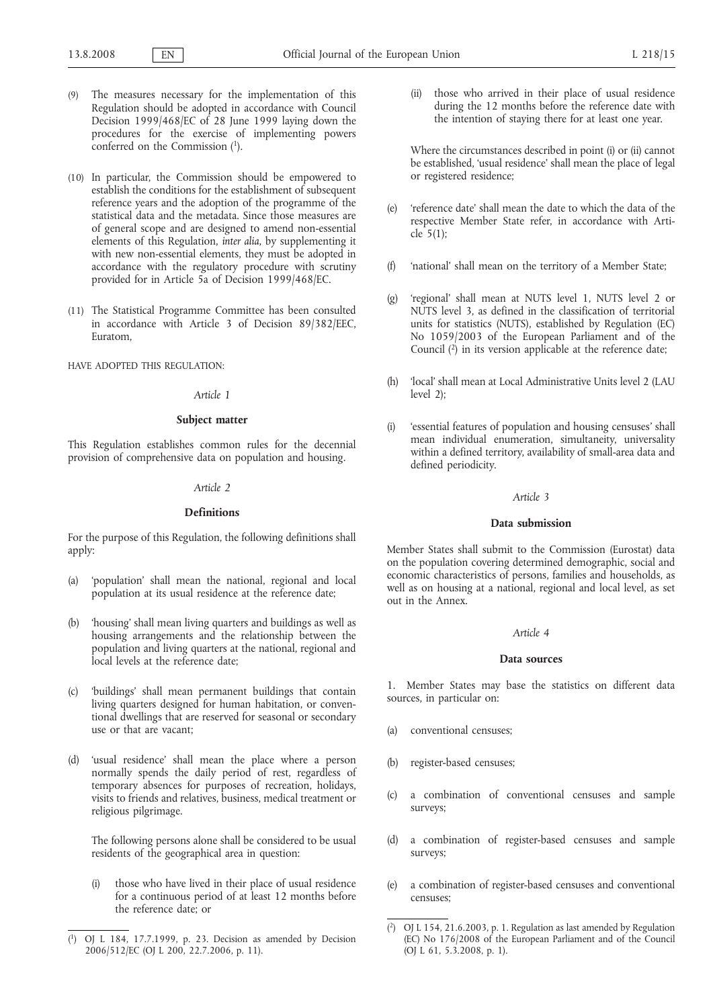- (9) The measures necessary for the implementation of this Regulation should be adopted in accordance with Council Decision 1999/468/EC of 28 June 1999 laying down the procedures for the exercise of implementing powers conferred on the Commission  $(1)$ .
- (10) In particular, the Commission should be empowered to establish the conditions for the establishment of subsequent reference years and the adoption of the programme of the statistical data and the metadata. Since those measures are of general scope and are designed to amend non-essential elements of this Regulation, *inter alia*, by supplementing it with new non-essential elements, they must be adopted in accordance with the regulatory procedure with scrutiny provided for in Article 5a of Decision 1999/468/EC.
- (11) The Statistical Programme Committee has been consulted in accordance with Article 3 of Decision 89/382/EEC, Euratom,

HAVE ADOPTED THIS REGULATION:

#### *Article 1*

## **Subject matter**

This Regulation establishes common rules for the decennial provision of comprehensive data on population and housing.

#### *Article 2*

#### **Definitions**

For the purpose of this Regulation, the following definitions shall apply:

- (a) 'population' shall mean the national, regional and local population at its usual residence at the reference date;
- (b) 'housing' shall mean living quarters and buildings as well as housing arrangements and the relationship between the population and living quarters at the national, regional and local levels at the reference date;
- (c) 'buildings' shall mean permanent buildings that contain living quarters designed for human habitation, or conventional dwellings that are reserved for seasonal or secondary use or that are vacant;
- (d) 'usual residence' shall mean the place where a person normally spends the daily period of rest, regardless of temporary absences for purposes of recreation, holidays, visits to friends and relatives, business, medical treatment or religious pilgrimage.

The following persons alone shall be considered to be usual residents of the geographical area in question:

(i) those who have lived in their place of usual residence for a continuous period of at least 12 months before the reference date; or

(ii) those who arrived in their place of usual residence during the 12 months before the reference date with the intention of staying there for at least one year.

Where the circumstances described in point (i) or (ii) cannot be established, 'usual residence' shall mean the place of legal or registered residence;

- (e) 'reference date' shall mean the date to which the data of the respective Member State refer, in accordance with Article 5(1);
- (f) 'national' shall mean on the territory of a Member State;
- (g) 'regional' shall mean at NUTS level 1, NUTS level 2 or NUTS level 3, as defined in the classification of territorial units for statistics (NUTS), established by Regulation (EC) No 1059/2003 of the European Parliament and of the Council  $(2)$  in its version applicable at the reference date;
- (h) 'local' shall mean at Local Administrative Units level 2 (LAU level 2);
- (i) 'essential features of population and housing censuses' shall mean individual enumeration, simultaneity, universality within a defined territory, availability of small-area data and defined periodicity.

## *Article 3*

## **Data submission**

Member States shall submit to the Commission (Eurostat) data on the population covering determined demographic, social and economic characteristics of persons, families and households, as well as on housing at a national, regional and local level, as set out in the Annex.

### *Article 4*

#### **Data sources**

1. Member States may base the statistics on different data sources, in particular on:

- (a) conventional censuses;
- (b) register-based censuses;
- (c) a combination of conventional censuses and sample surveys;
- (d) a combination of register-based censuses and sample surveys;
- (e) a combination of register-based censuses and conventional censuses;

<sup>(</sup> 1) OJ L 184, 17.7.1999, p. 23. Decision as amended by Decision 2006/512/EC (OJ L 200, 22.7.2006, p. 11).

 $(2)$ 2) OJ L 154, 21.6.2003, p. 1. Regulation as last amended by Regulation (EC) No 176/2008 of the European Parliament and of the Council (OJ L 61, 5.3.2008, p. 1).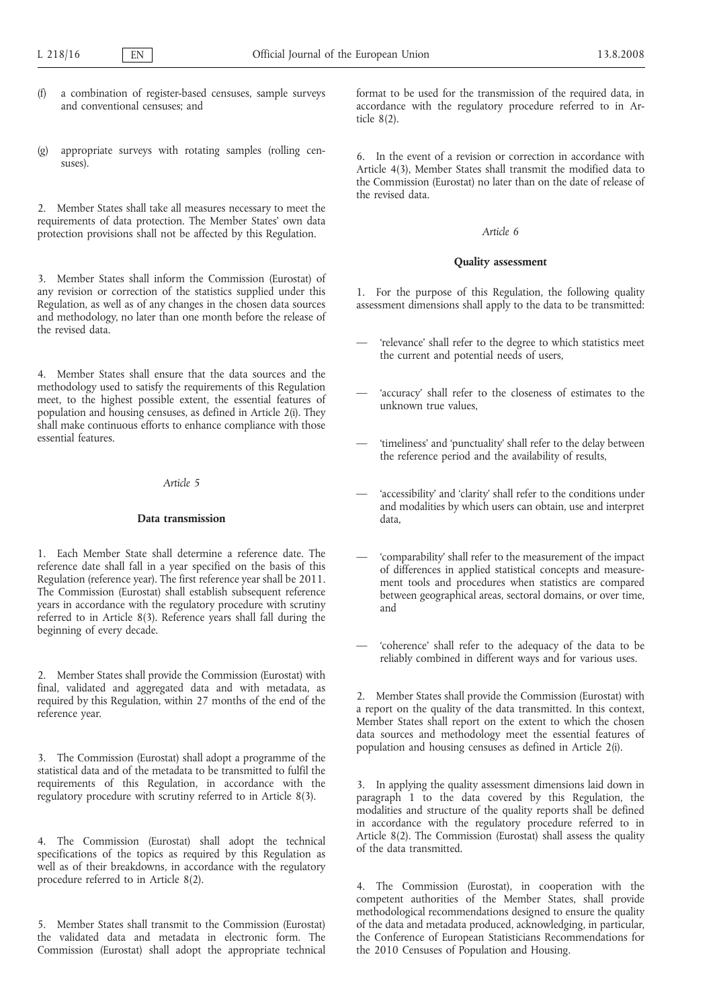- a combination of register-based censuses, sample surveys and conventional censuses; and
- (g) appropriate surveys with rotating samples (rolling censuses).

2. Member States shall take all measures necessary to meet the requirements of data protection. The Member States' own data protection provisions shall not be affected by this Regulation.

3. Member States shall inform the Commission (Eurostat) of any revision or correction of the statistics supplied under this Regulation, as well as of any changes in the chosen data sources and methodology, no later than one month before the release of the revised data.

4. Member States shall ensure that the data sources and the methodology used to satisfy the requirements of this Regulation meet, to the highest possible extent, the essential features of population and housing censuses, as defined in Article 2(i). They shall make continuous efforts to enhance compliance with those essential features.

## *Article 5*

# **Data transmission**

1. Each Member State shall determine a reference date. The reference date shall fall in a year specified on the basis of this Regulation (reference year). The first reference year shall be 2011. The Commission (Eurostat) shall establish subsequent reference years in accordance with the regulatory procedure with scrutiny referred to in Article 8(3). Reference years shall fall during the beginning of every decade.

2. Member States shall provide the Commission (Eurostat) with final, validated and aggregated data and with metadata, as required by this Regulation, within 27 months of the end of the reference year.

3. The Commission (Eurostat) shall adopt a programme of the statistical data and of the metadata to be transmitted to fulfil the requirements of this Regulation, in accordance with the regulatory procedure with scrutiny referred to in Article 8(3).

4. The Commission (Eurostat) shall adopt the technical specifications of the topics as required by this Regulation as well as of their breakdowns, in accordance with the regulatory procedure referred to in Article 8(2).

5. Member States shall transmit to the Commission (Eurostat) the validated data and metadata in electronic form. The Commission (Eurostat) shall adopt the appropriate technical

format to be used for the transmission of the required data, in accordance with the regulatory procedure referred to in Article 8(2).

6. In the event of a revision or correction in accordance with Article 4(3), Member States shall transmit the modified data to the Commission (Eurostat) no later than on the date of release of the revised data.

## *Article 6*

#### **Quality assessment**

1. For the purpose of this Regulation, the following quality assessment dimensions shall apply to the data to be transmitted:

- 'relevance' shall refer to the degree to which statistics meet the current and potential needs of users,
- 'accuracy' shall refer to the closeness of estimates to the unknown true values,
- 'timeliness' and 'punctuality' shall refer to the delay between the reference period and the availability of results,
- 'accessibility' and 'clarity' shall refer to the conditions under and modalities by which users can obtain, use and interpret data,
- 'comparability' shall refer to the measurement of the impact of differences in applied statistical concepts and measurement tools and procedures when statistics are compared between geographical areas, sectoral domains, or over time, and
- 'coherence' shall refer to the adequacy of the data to be reliably combined in different ways and for various uses.

2. Member States shall provide the Commission (Eurostat) with a report on the quality of the data transmitted. In this context, Member States shall report on the extent to which the chosen data sources and methodology meet the essential features of population and housing censuses as defined in Article 2(i).

3. In applying the quality assessment dimensions laid down in paragraph 1 to the data covered by this Regulation, the modalities and structure of the quality reports shall be defined in accordance with the regulatory procedure referred to in Article 8(2). The Commission (Eurostat) shall assess the quality of the data transmitted.

4. The Commission (Eurostat), in cooperation with the competent authorities of the Member States, shall provide methodological recommendations designed to ensure the quality of the data and metadata produced, acknowledging, in particular, the Conference of European Statisticians Recommendations for the 2010 Censuses of Population and Housing.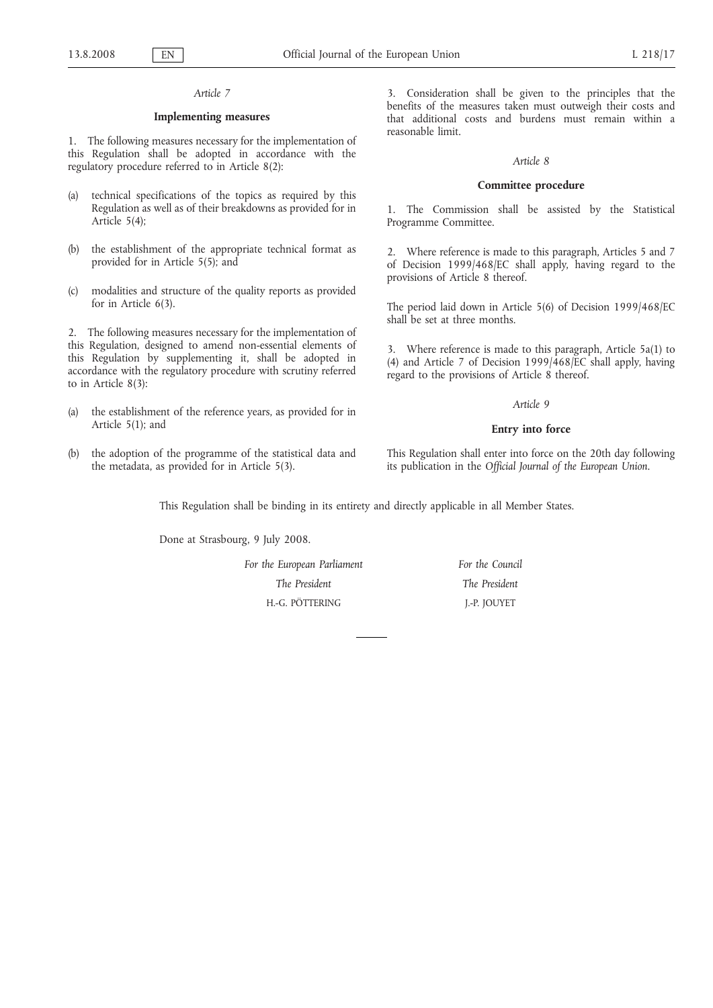## *Article 7*

## **Implementing measures**

1. The following measures necessary for the implementation of this Regulation shall be adopted in accordance with the regulatory procedure referred to in Article 8(2):

- (a) technical specifications of the topics as required by this Regulation as well as of their breakdowns as provided for in Article 5(4);
- (b) the establishment of the appropriate technical format as provided for in Article 5(5); and
- (c) modalities and structure of the quality reports as provided for in Article 6(3).

2. The following measures necessary for the implementation of this Regulation, designed to amend non-essential elements of this Regulation by supplementing it, shall be adopted in accordance with the regulatory procedure with scrutiny referred to in Article 8(3):

- (a) the establishment of the reference years, as provided for in Article 5(1); and
- (b) the adoption of the programme of the statistical data and the metadata, as provided for in Article 5(3).

3. Consideration shall be given to the principles that the benefits of the measures taken must outweigh their costs and that additional costs and burdens must remain within a reasonable limit.

#### *Article 8*

## **Committee procedure**

1. The Commission shall be assisted by the Statistical Programme Committee.

2. Where reference is made to this paragraph, Articles 5 and 7 of Decision 1999/468/EC shall apply, having regard to the provisions of Article 8 thereof.

The period laid down in Article 5(6) of Decision 1999/468/EC shall be set at three months.

3. Where reference is made to this paragraph, Article 5a(1) to (4) and Article 7 of Decision 1999/468/EC shall apply, having regard to the provisions of Article 8 thereof.

#### *Article 9*

#### **Entry into force**

This Regulation shall enter into force on the 20th day following its publication in the *Official Journal of the European Union*.

This Regulation shall be binding in its entirety and directly applicable in all Member States.

Done at Strasbourg, 9 July 2008.

| For the European Parliament | For the Council |
|-----------------------------|-----------------|
| The President               | The President   |
| H.-G. PÖTTERING             | J.-P. JOUYET    |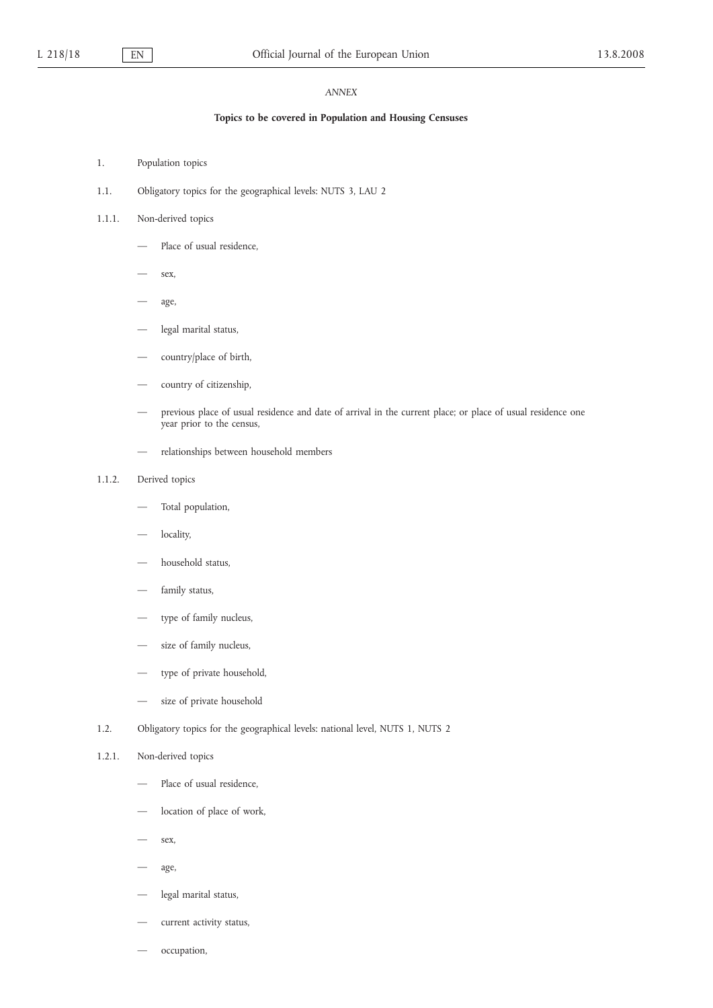# *ANNEX*

# **Topics to be covered in Population and Housing Censuses**

- 1. Population topics
- 1.1. Obligatory topics for the geographical levels: NUTS 3, LAU 2

# 1.1.1. Non-derived topics

- Place of usual residence.
- sex,
- age,
- legal marital status,
- country/place of birth,
- country of citizenship,
- previous place of usual residence and date of arrival in the current place; or place of usual residence one year prior to the census,
- relationships between household members

## 1.1.2. Derived topics

- Total population,
- locality,
- household status.
- family status,
- type of family nucleus,
- size of family nucleus,
- type of private household,
- size of private household
- 1.2. Obligatory topics for the geographical levels: national level, NUTS 1, NUTS 2

#### 1.2.1. Non-derived topics

- Place of usual residence.
- location of place of work,
- sex,
- age,
- legal marital status,
- current activity status,
- occupation,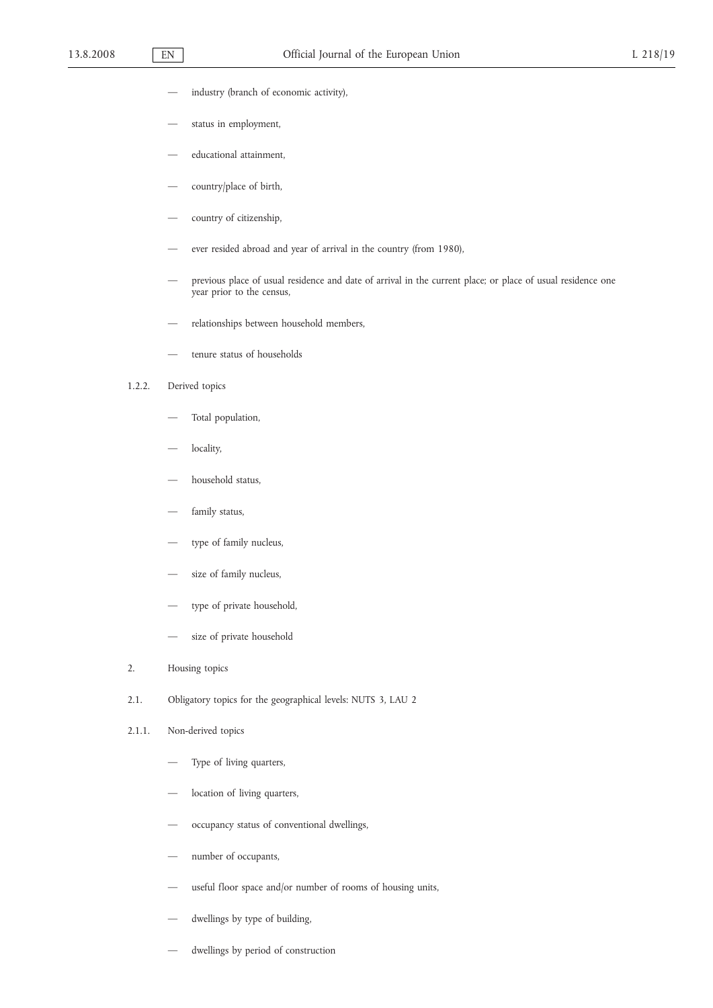- industry (branch of economic activity),
- status in employment,
- educational attainment,
- country/place of birth,
- country of citizenship,
- ever resided abroad and year of arrival in the country (from 1980),
- previous place of usual residence and date of arrival in the current place; or place of usual residence one year prior to the census,
- relationships between household members,
- tenure status of households

# 1.2.2. Derived topics

- Total population,
- locality,
- household status,
- family status,
- type of family nucleus,
- size of family nucleus,
- type of private household,
- size of private household
- 2. Housing topics
- 2.1. Obligatory topics for the geographical levels: NUTS 3, LAU 2
- 2.1.1. Non-derived topics
	- Type of living quarters,
	- location of living quarters,
	- occupancy status of conventional dwellings,
	- number of occupants,
	- useful floor space and/or number of rooms of housing units,
	- dwellings by type of building,
	- dwellings by period of construction